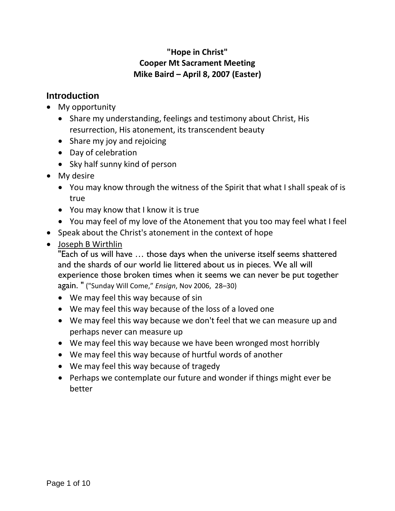#### **"Hope in Christ" Cooper Mt Sacrament Meeting Mike Baird – April 8, 2007 (Easter)**

## **Introduction**

- My opportunity
	- Share my understanding, feelings and testimony about Christ, His resurrection, His atonement, its transcendent beauty
	- Share my joy and rejoicing
	- Day of celebration
	- Sky half sunny kind of person
- My desire
	- You may know through the witness of the Spirit that what I shall speak of is true
	- You may know that I know it is true
	- You may feel of my love of the Atonement that you too may feel what I feel
- Speak about the Christ's atonement in the context of hope
- Joseph B Wirthlin

"Each of us will have … those days when the universe itself seems shattered and the shards of our world lie littered about us in pieces. We all will experience those broken times when it seems we can never be put together again. " ("Sunday Will Come," *Ensign*, Nov 2006, 28–30)

- We may feel this way because of sin
- We may feel this way because of the loss of a loved one
- We may feel this way because we don't feel that we can measure up and perhaps never can measure up
- We may feel this way because we have been wronged most horribly
- We may feel this way because of hurtful words of another
- We may feel this way because of tragedy
- Perhaps we contemplate our future and wonder if things might ever be better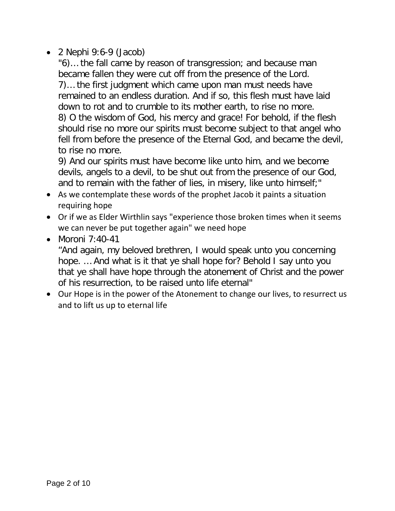• 2 Nephi 9:6-9 (Jacob)

"6)… the fall came by reason of transgression; and because man became fallen they were cut off from the presence of the Lord. 7)… the first judgment which came upon man must needs have remained to an endless duration. And if so, this flesh must have laid down to rot and to crumble to its mother earth, to rise no more. 8) O the wisdom of God, his mercy and grace! For behold, if the flesh should rise no more our spirits must become subject to that angel who fell from before the presence of the Eternal God, and became the devil, to rise no more.

9) And our spirits must have become like unto him, and we become devils, angels to a devil, to be shut out from the presence of our God, and to remain with the father of lies, in misery, like unto himself;"

- As we contemplate these words of the prophet Jacob it paints a situation requiring hope
- Or if we as Elder Wirthlin says "experience those broken times when it seems we can never be put together again" we need hope
- Moroni 7:40-41

"And again, my beloved brethren, I would speak unto you concerning hope. … And what is it that ye shall hope for? Behold I say unto you that ye shall have hope through the atonement of Christ and the power of his resurrection, to be raised unto life eternal"

• Our Hope is in the power of the Atonement to change our lives, to resurrect us and to lift us up to eternal life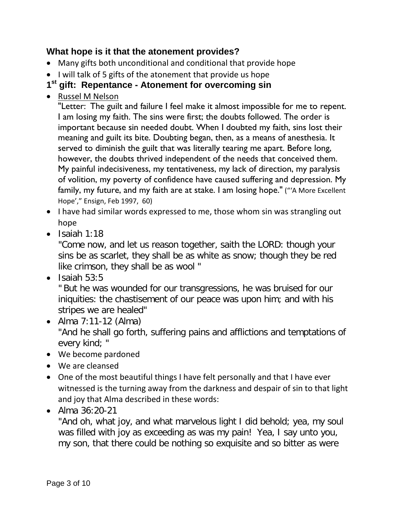#### **What hope is it that the atonement provides?**

- Many gifts both unconditional and conditional that provide hope
- I will talk of 5 gifts of the atonement that provide us hope

## **1st gift: Repentance - Atonement for overcoming sin**

• Russel M Nelson

"Letter: The guilt and failure I feel make it almost impossible for me to repent. I am losing my faith. The sins were first; the doubts followed. The order is important because sin needed doubt. When I doubted my faith, sins lost their meaning and guilt its bite. Doubting began, then, as a means of anesthesia. It served to diminish the guilt that was literally tearing me apart. Before long, however, the doubts thrived independent of the needs that conceived them. My painful indecisiveness, my tentativeness, my lack of direction, my paralysis of volition, my poverty of confidence have caused suffering and depression. My family, my future, and my faith are at stake. I am losing hope." ("'A More Excellent Hope'," Ensign, Feb 1997, 60)

- I have had similar words expressed to me, those whom sin was strangling out hope
- Isaiah 1:18

"Come now, and let us reason together, saith the LORD: though your sins be as scarlet, they shall be as white as snow; though they be red like crimson, they shall be as wool "

 $\bullet$  Isaiah 53:5

" But he was wounded for our transgressions, he was bruised for our iniquities: the chastisement of our peace was upon him; and with his stripes we are healed"

- Alma 7:11-12 (Alma) "And he shall go forth, suffering pains and afflictions and temptations of every kind; "
- We become pardoned
- We are cleansed
- One of the most beautiful things I have felt personally and that I have ever witnessed is the turning away from the darkness and despair of sin to that light and joy that Alma described in these words:
- Alma 36:20-21

"And oh, what joy, and what marvelous light I did behold; yea, my soul was filled with joy as exceeding as was my pain! Yea, I say unto you, my son, that there could be nothing so exquisite and so bitter as were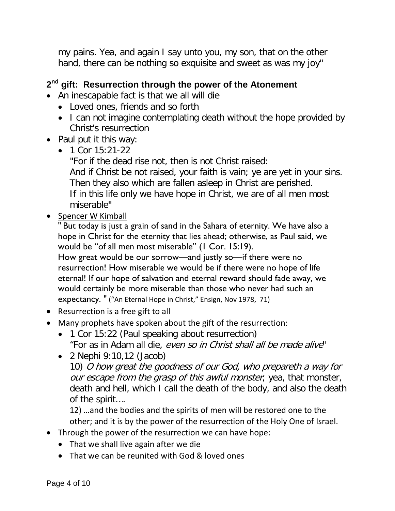my pains. Yea, and again I say unto you, my son, that on the other hand, there can be nothing so exquisite and sweet as was my joy"

## **2nd gift: Resurrection through the power of the Atonement**

- An inescapable fact is that we all will die
	- Loved ones, friends and so forth
	- I can not imagine contemplating death without the hope provided by Christ's resurrection
- Paul put it this way:
	- 1 Cor  $15:21-22$

"For if the dead rise not, then is not Christ raised: And if Christ be not raised, your faith is vain; ye are yet in your sins. Then they also which are fallen asleep in Christ are perished. If in this life only we have hope in Christ, we are of all men most miserable"

• Spencer W Kimball

" But today is just a grain of sand in the Sahara of eternity. We have also a hope in Christ for the eternity that lies ahead; otherwise, as Paul said, we would be "of all men most miserable" (1 Cor. 15:19).

How great would be our sorrow—and justly so—if there were no resurrection! How miserable we would be if there were no hope of life eternal! If our hope of salvation and eternal reward should fade away, we would certainly be more miserable than those who never had such an expectancy. " ("An Eternal Hope in Christ," Ensign, Nov 1978, 71)

- Resurrection is a free gift to all
- Many prophets have spoken about the gift of the resurrection:
	- 1 Cor 15:22 (Paul speaking about resurrection) "For as in Adam all die, even so in Christ shall all be made alive"

• 2 Nephi 9:10,12 (Jacob) 10) O how great the goodness of our God, who prepareth a way for our escape from the grasp of this awful monster, yea, that monster, death and hell, which I call the death of the body, and also the death

of the spirit….

12) …and the bodies and the spirits of men will be restored one to the other; and it is by the power of the resurrection of the Holy One of Israel.

- Through the power of the resurrection we can have hope:
	- That we shall live again after we die
	- That we can be reunited with God & loved ones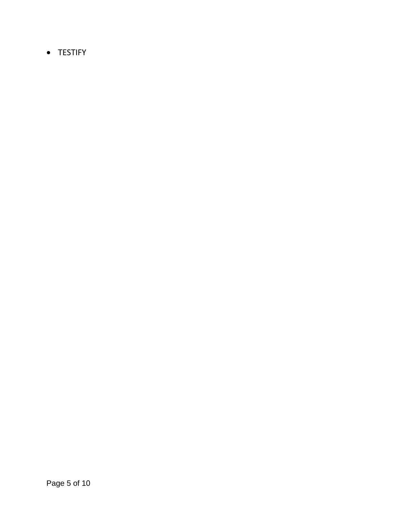• TESTIFY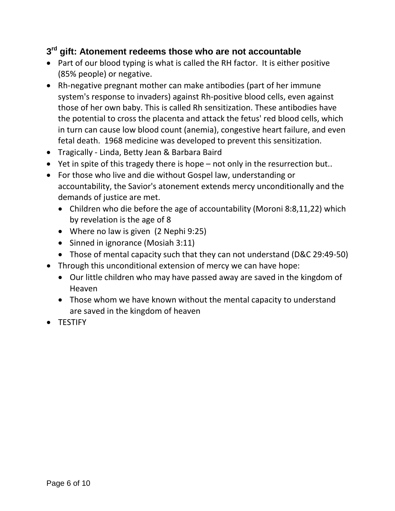#### **3rd gift: Atonement redeems those who are not accountable**

- Part of our blood typing is what is called the RH factor. It is either positive (85% people) or negative.
- Rh-negative pregnant mother can make antibodies (part of her immune system's response to invaders) against Rh-positive blood cells, even against those of her own baby. This is called Rh sensitization. These antibodies have the potential to cross the placenta and attack the fetus' red blood cells, which in turn can cause low blood count (anemia), congestive heart failure, and even fetal death. 1968 medicine was developed to prevent this sensitization.
- Tragically Linda, Betty Jean & Barbara Baird
- Yet in spite of this tragedy there is hope not only in the resurrection but..
- For those who live and die without Gospel law, understanding or accountability, the Savior's atonement extends mercy unconditionally and the demands of justice are met.
	- Children who die before the age of accountability (Moroni 8:8,11,22) which by revelation is the age of 8
	- Where no law is given (2 Nephi 9:25)
	- Sinned in ignorance (Mosiah 3:11)
	- Those of mental capacity such that they can not understand (D&C 29:49-50)
- Through this unconditional extension of mercy we can have hope:
	- Our little children who may have passed away are saved in the kingdom of Heaven
	- Those whom we have known without the mental capacity to understand are saved in the kingdom of heaven
- TESTIFY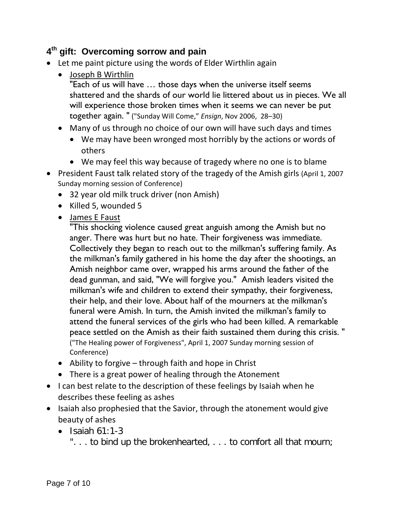## **4th gift: Overcoming sorrow and pain**

- Let me paint picture using the words of Elder Wirthlin again
	- Joseph B Wirthlin "Each of us will have … those days when the universe itself seems shattered and the shards of our world lie littered about us in pieces. We all will experience those broken times when it seems we can never be put together again. " ("Sunday Will Come," *Ensign*, Nov 2006, 28–30)
	- Many of us through no choice of our own will have such days and times
		- We may have been wronged most horribly by the actions or words of others
		- We may feel this way because of tragedy where no one is to blame
- President Faust talk related story of the tragedy of the Amish girls (April 1, 2007 Sunday morning session of Conference)
	- 32 year old milk truck driver (non Amish)
	- Killed 5, wounded 5
	- James E Faust

"This shocking violence caused great anguish among the Amish but no anger. There was hurt but no hate. Their forgiveness was immediate. Collectively they began to reach out to the milkman's suffering family. As the milkman's family gathered in his home the day after the shootings, an Amish neighbor came over, wrapped his arms around the father of the dead gunman, and said, "We will forgive you." Amish leaders visited the milkman's wife and children to extend their sympathy, their forgiveness, their help, and their love. About half of the mourners at the milkman's funeral were Amish. In turn, the Amish invited the milkman's family to attend the funeral services of the girls who had been killed. A remarkable peace settled on the Amish as their faith sustained them during this crisis. " ("The Healing power of Forgiveness", April 1, 2007 Sunday morning session of Conference)

- Ability to forgive through faith and hope in Christ
- There is a great power of healing through the Atonement
- I can best relate to the description of these feelings by Isaiah when he describes these feeling as ashes
- Isaiah also prophesied that the Savior, through the atonement would give beauty of ashes
	- $\bullet$  Isaiah 61:1-3
		- ". . . to bind up the brokenhearted, . . . to comfort all that mourn;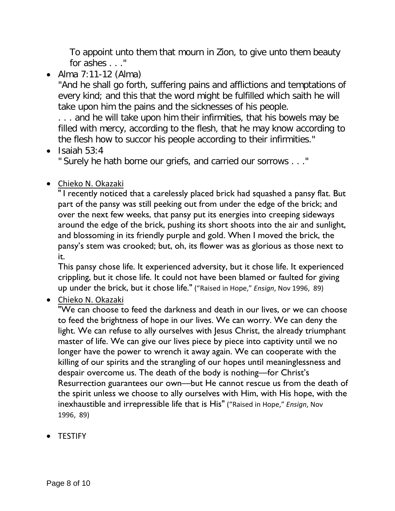To appoint unto them that mourn in Zion, to give unto them beauty for ashes . . ."

• Alma 7:11-12 (Alma)

"And he shall go forth, suffering pains and afflictions and temptations of every kind; and this that the word might be fulfilled which saith he will take upon him the pains and the sicknesses of his people.

. . . and he will take upon him their infirmities, that his bowels may be filled with mercy, according to the flesh, that he may know according to the flesh how to succor his people according to their infirmities."

 $\bullet$  Isaiah 53:4

" Surely he hath borne our griefs, and carried our sorrows . . ."

#### • Chieko N. Okazaki

" I recently noticed that a carelessly placed brick had squashed a pansy flat. But part of the pansy was still peeking out from under the edge of the brick; and over the next few weeks, that pansy put its energies into creeping sideways around the edge of the brick, pushing its short shoots into the air and sunlight, and blossoming in its friendly purple and gold. When I moved the brick, the pansy's stem was crooked; but, oh, its flower was as glorious as those next to it.

This pansy chose life. It experienced adversity, but it chose life. It experienced crippling, but it chose life. It could not have been blamed or faulted for giving up under the brick, but it chose life." ("Raised in Hope," *Ensign*, Nov 1996, 89)

• Chieko N. Okazaki

"We can choose to feed the darkness and death in our lives, or we can choose to feed the brightness of hope in our lives. We can worry. We can deny the light. We can refuse to ally ourselves with Jesus Christ, the already triumphant master of life. We can give our lives piece by piece into captivity until we no longer have the power to wrench it away again. We can cooperate with the killing of our spirits and the strangling of our hopes until meaninglessness and despair overcome us. The death of the body is nothing—for Christ's Resurrection guarantees our own—but He cannot rescue us from the death of the spirit unless we choose to ally ourselves with Him, with His hope, with the inexhaustible and irrepressible life that is His" ("Raised in Hope," *Ensign*, Nov 1996, 89)

• TESTIFY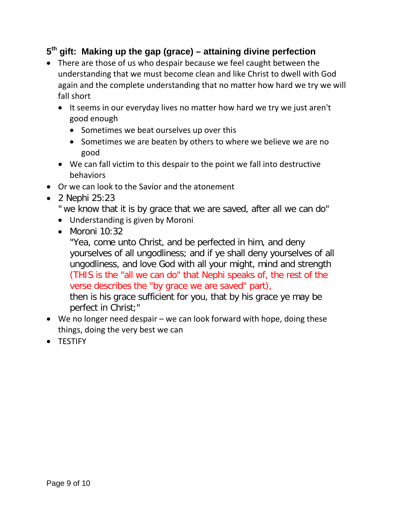## **5th gift: Making up the gap (grace) – attaining divine perfection**

- There are those of us who despair because we feel caught between the understanding that we must become clean and like Christ to dwell with God again and the complete understanding that no matter how hard we try we will fall short
	- It seems in our everyday lives no matter how hard we try we just aren't good enough
		- Sometimes we beat ourselves up over this
		- Sometimes we are beaten by others to where we believe we are no good
	- We can fall victim to this despair to the point we fall into destructive behaviors
- Or we can look to the Savior and the atonement
- 2 Nephi 25:23
	- " we know that it is by grace that we are saved, after all we can do"
	- Understanding is given by Moroni
	- $\bullet$  Moroni 10:32

"Yea, come unto Christ, and be perfected in him, and deny yourselves of all ungodliness; and if ye shall deny yourselves of all ungodliness, and love God with all your might, mind and strength (THIS is the "all we can do" that Nephi speaks of, the rest of the verse describes the "by grace we are saved" part),

then is his grace sufficient for you, that by his grace ye may be perfect in Christ;"

- We no longer need despair we can look forward with hope, doing these things, doing the very best we can
- TESTIFY